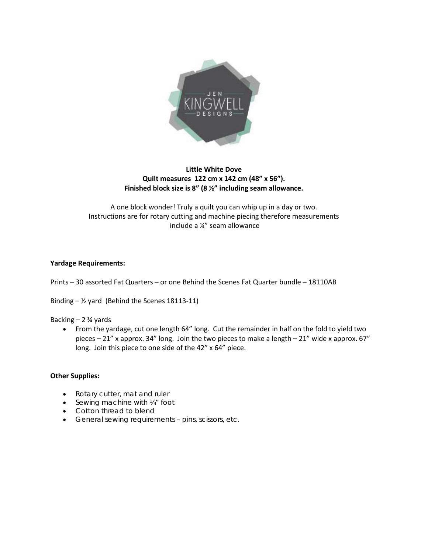

# **Little White Dove Quilt measures 122 cm x 142 cm (48" x 56"). Finished block size is 8" (8 ½" including seam allowance.**

A one block wonder! Truly a quilt you can whip up in a day or two. Instructions are for rotary cutting and machine piecing therefore measurements include a ¼" seam allowance

#### **Yardage Requirements:**

Prints – 30 assorted Fat Quarters – or one Behind the Scenes Fat Quarter bundle – 18110AB

Binding  $-$  1/<sub>2</sub> yard (Behind the Scenes 18113-11)

#### Backing  $-2\frac{3}{4}$  yards

• From the yardage, cut one length 64" long. Cut the remainder in half on the fold to yield two pieces – 21" x approx. 34" long. Join the two pieces to make a length – 21" wide x approx. 67" long. Join this piece to one side of the 42" x 64" piece.

#### **Other Supplies:**

- Rotary cutter, mat and ruler
- Sewing machine with 1/4" foot
- Cotton thread to blend
- General sewing requirements pins, scissors, etc.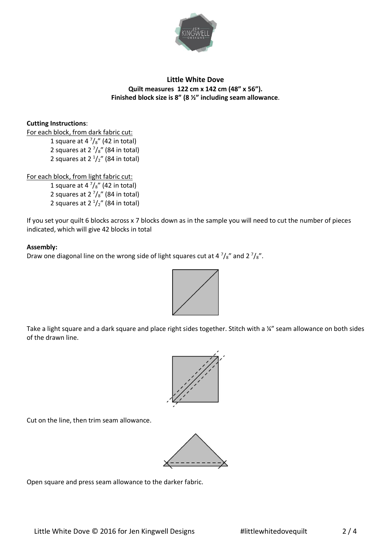

# **Little White Dove Quilt measures 122 cm x 142 cm (48" x 56"). Finished block size is 8" (8 ½" including seam allowance**.

## **Cutting Instructions**:

For each block, from dark fabric cut: 1 square at 4  $\frac{7}{8}$ " (42 in total) 2 squares at 2  $\frac{7}{8}$ " (84 in total) 2 squares at  $2<sup>1</sup>/<sub>2</sub>$ " (84 in total)

For each block, from light fabric cut:

1 square at 4 $\frac{7}{8}$ " (42 in total) 2 squares at 2  $\frac{7}{8}$ " (84 in total) 2 squares at  $2<sup>1</sup>/<sub>2</sub>$ " (84 in total)

If you set your quilt 6 blocks across x 7 blocks down as in the sample you will need to cut the number of pieces indicated, which will give 42 blocks in total

### **Assembly:**

Draw one diagonal line on the wrong side of light squares cut at 4  $\frac{7}{8}$  and 2  $\frac{7}{8}$ .



Take a light square and a dark square and place right sides together. Stitch with a ¼" seam allowance on both sides of the drawn line.



Cut on the line, then trim seam allowance.



Open square and press seam allowance to the darker fabric.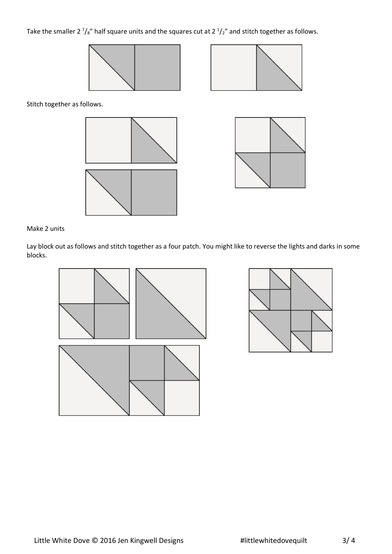# Take the smaller 2  $\frac{7}{s}$ " half square units and the squares cut at 2  $\frac{1}{2}$ " and stitch together as follows.





Stitch together as follows.





### Make 2 units

Lay block out as follows and stitch together as a four patch. You might like to reverse the lights and darks in some blocks.